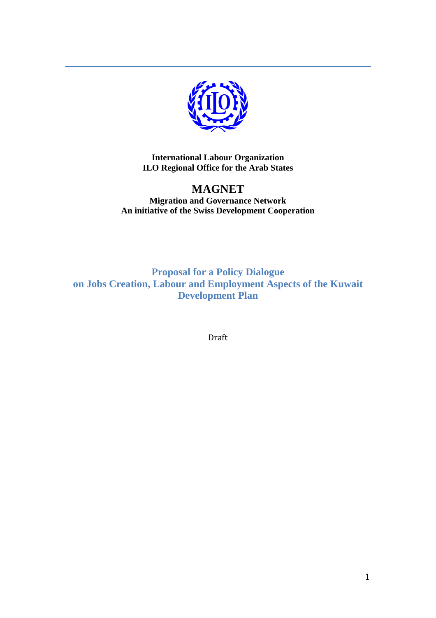

**International Labour Organization ILO Regional Office for the Arab States**

## **MAGNET Migration and Governance Network An initiative of the Swiss Development Cooperation**

**Proposal for a Policy Dialogue on Jobs Creation, Labour and Employment Aspects of the Kuwait Development Plan**

Draft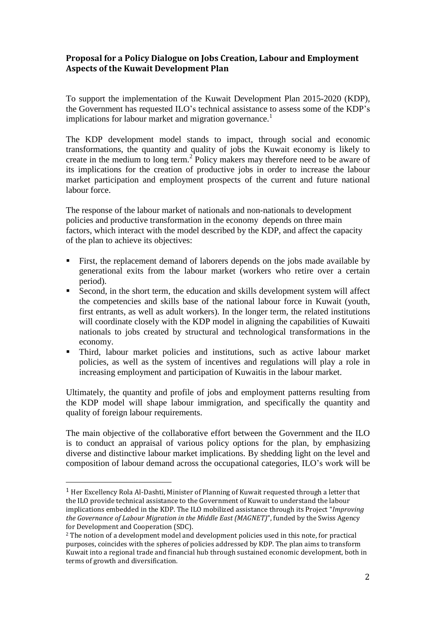## **Proposal for a Policy Dialogue on Jobs Creation, Labour and Employment Aspects of the Kuwait Development Plan**

To support the implementation of the Kuwait Development Plan 2015-2020 (KDP), the Government has requested ILO's technical assistance to assess some of the KDP's implications for labour market and migration governance.<sup>1</sup>

The KDP development model stands to impact, through social and economic transformations, the quantity and quality of jobs the Kuwait economy is likely to create in the medium to long term.<sup>2</sup> Policy makers may therefore need to be aware of its implications for the creation of productive jobs in order to increase the labour market participation and employment prospects of the current and future national labour force.

The response of the labour market of nationals and non-nationals to development policies and productive transformation in the economy depends on three main factors, which interact with the model described by the KDP, and affect the capacity of the plan to achieve its objectives:

- First, the replacement demand of laborers depends on the jobs made available by generational exits from the labour market (workers who retire over a certain period).
- Second, in the short term, the education and skills development system will affect the competencies and skills base of the national labour force in Kuwait (youth, first entrants, as well as adult workers). In the longer term, the related institutions will coordinate closely with the KDP model in aligning the capabilities of Kuwaiti nationals to jobs created by structural and technological transformations in the economy.
- Third, labour market policies and institutions, such as active labour market policies, as well as the system of incentives and regulations will play a role in increasing employment and participation of Kuwaitis in the labour market.

Ultimately, the quantity and profile of jobs and employment patterns resulting from the KDP model will shape labour immigration, and specifically the quantity and quality of foreign labour requirements.

The main objective of the collaborative effort between the Government and the ILO is to conduct an appraisal of various policy options for the plan, by emphasizing diverse and distinctive labour market implications. By shedding light on the level and composition of labour demand across the occupational categories, ILO's work will be

 $\overline{a}$ 

 $<sup>1</sup>$  Her Excellency Rola Al-Dashti, Minister of Planning of Kuwait requested through a letter that</sup> the ILO provide technical assistance to the Government of Kuwait to understand the labour implications embedded in the KDP. The ILO mobilized assistance through its Project "*Improving the Governance of Labour Migration in the Middle East (MAGNET)*", funded by the Swiss Agency for Development and Cooperation (SDC).

<sup>&</sup>lt;sup>2</sup> The notion of a development model and development policies used in this note, for practical purposes, coincides with the spheres of policies addressed by KDP. The plan aims to transform Kuwait into a regional trade and financial hub through sustained economic development, both in terms of growth and diversification.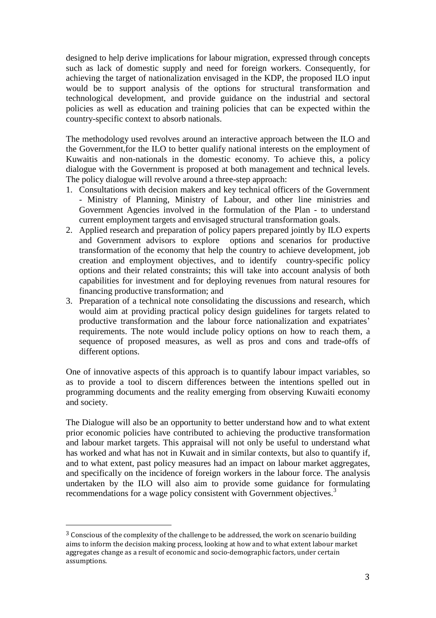designed to help derive implications for labour migration, expressed through concepts such as lack of domestic supply and need for foreign workers. Consequently, for achieving the target of nationalization envisaged in the KDP, the proposed ILO input would be to support analysis of the options for structural transformation and technological development, and provide guidance on the industrial and sectoral policies as well as education and training policies that can be expected within the country-specific context to absorb nationals.

The methodology used revolves around an interactive approach between the ILO and the Government,for the ILO to better qualify national interests on the employment of Kuwaitis and non-nationals in the domestic economy. To achieve this, a policy dialogue with the Government is proposed at both management and technical levels. The policy dialogue will revolve around a three-step approach:

- 1. Consultations with decision makers and key technical officers of the Government - Ministry of Planning, Ministry of Labour, and other line ministries and Government Agencies involved in the formulation of the Plan - to understand current employment targets and envisaged structural transformation goals.
- 2. Applied research and preparation of policy papers prepared jointly by ILO experts and Government advisors to explore options and scenarios for productive transformation of the economy that help the country to achieve development, job creation and employment objectives, and to identify country-specific policy options and their related constraints; this will take into account analysis of both capabilities for investment and for deploying revenues from natural resoures for financing productive transformation; and
- 3. Preparation of a technical note consolidating the discussions and research, which would aim at providing practical policy design guidelines for targets related to productive transformation and the labour force nationalization and expatriates' requirements. The note would include policy options on how to reach them, a sequence of proposed measures, as well as pros and cons and trade-offs of different options.

One of innovative aspects of this approach is to quantify labour impact variables, so as to provide a tool to discern differences between the intentions spelled out in programming documents and the reality emerging from observing Kuwaiti economy and society.

The Dialogue will also be an opportunity to better understand how and to what extent prior economic policies have contributed to achieving the productive transformation and labour market targets. This appraisal will not only be useful to understand what has worked and what has not in Kuwait and in similar contexts, but also to quantify if, and to what extent, past policy measures had an impact on labour market aggregates, and specifically on the incidence of foreign workers in the labour force. The analysis undertaken by the ILO will also aim to provide some guidance for formulating recommendations for a wage policy consistent with Government objectives.<sup>3</sup>

 $\overline{a}$ 

<sup>3</sup> Conscious of the complexity of the challenge to be addressed, the work on scenario building aims to inform the decision making process, looking at how and to what extent labour market aggregates change as a result of economic and socio-demographic factors, under certain assumptions.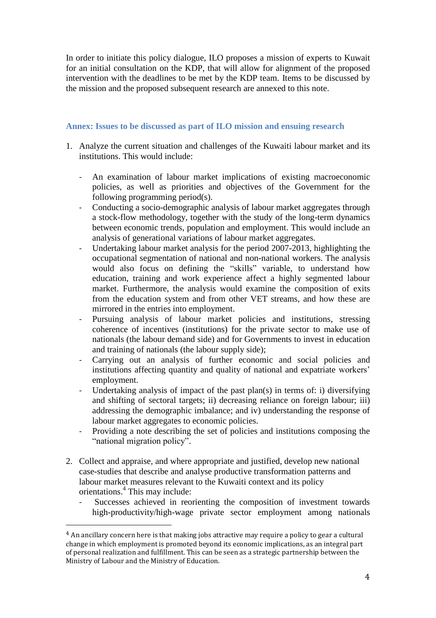In order to initiate this policy dialogue, ILO proposes a mission of experts to Kuwait for an initial consultation on the KDP, that will allow for alignment of the proposed intervention with the deadlines to be met by the KDP team. Items to be discussed by the mission and the proposed subsequent research are annexed to this note.

## **Annex: Issues to be discussed as part of ILO mission and ensuing research**

- 1. Analyze the current situation and challenges of the Kuwaiti labour market and its institutions. This would include:
	- An examination of labour market implications of existing macroeconomic policies, as well as priorities and objectives of the Government for the following programming period(s).
	- Conducting a socio-demographic analysis of labour market aggregates through a stock-flow methodology, together with the study of the long-term dynamics between economic trends, population and employment. This would include an analysis of generational variations of labour market aggregates.
	- Undertaking labour market analysis for the period 2007-2013, highlighting the occupational segmentation of national and non-national workers. The analysis would also focus on defining the "skills" variable, to understand how education, training and work experience affect a highly segmented labour market. Furthermore, the analysis would examine the composition of exits from the education system and from other VET streams, and how these are mirrored in the entries into employment.
	- Pursuing analysis of labour market policies and institutions, stressing coherence of incentives (institutions) for the private sector to make use of nationals (the labour demand side) and for Governments to invest in education and training of nationals (the labour supply side);
	- Carrying out an analysis of further economic and social policies and institutions affecting quantity and quality of national and expatriate workers' employment.
	- Undertaking analysis of impact of the past plan(s) in terms of: i) diversifying and shifting of sectoral targets; ii) decreasing reliance on foreign labour; iii) addressing the demographic imbalance; and iv) understanding the response of labour market aggregates to economic policies.
	- Providing a note describing the set of policies and institutions composing the "national migration policy".
- 2. Collect and appraise, and where appropriate and justified, develop new national case-studies that describe and analyse productive transformation patterns and labour market measures relevant to the Kuwaiti context and its policy orientations. 4 This may include:
	- Successes achieved in reorienting the composition of investment towards high-productivity/high-wage private sector employment among nationals

 $\overline{a}$ 

<sup>&</sup>lt;sup>4</sup> An ancillary concern here is that making jobs attractive may require a policy to gear a cultural change in which employment is promoted beyond its economic implications, as an integral part of personal realization and fulfillment. This can be seen as a strategic partnership between the Ministry of Labour and the Ministry of Education.